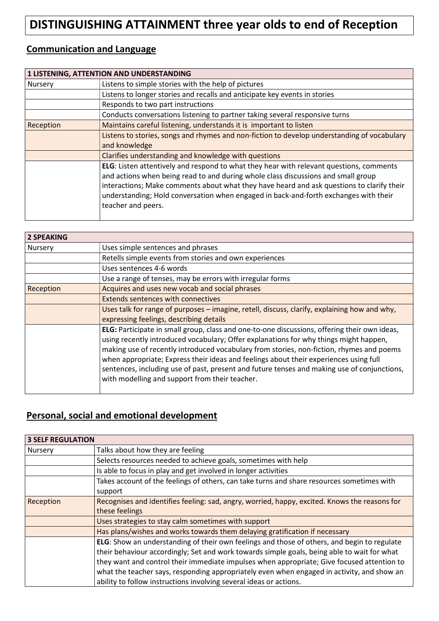# DISTINGUISHING ATTAINMENT three year olds to end of Reception

#### Communication and Language

|           | 1 LISTENING, ATTENTION AND UNDERSTANDING                                                                                                                                                                                                                                                                                                                                                |
|-----------|-----------------------------------------------------------------------------------------------------------------------------------------------------------------------------------------------------------------------------------------------------------------------------------------------------------------------------------------------------------------------------------------|
| Nursery   | Listens to simple stories with the help of pictures                                                                                                                                                                                                                                                                                                                                     |
|           | Listens to longer stories and recalls and anticipate key events in stories                                                                                                                                                                                                                                                                                                              |
|           | Responds to two part instructions                                                                                                                                                                                                                                                                                                                                                       |
|           | Conducts conversations listening to partner taking several responsive turns                                                                                                                                                                                                                                                                                                             |
| Reception | Maintains careful listening, understands it is important to listen                                                                                                                                                                                                                                                                                                                      |
|           | Listens to stories, songs and rhymes and non-fiction to develop understanding of vocabulary                                                                                                                                                                                                                                                                                             |
|           | and knowledge                                                                                                                                                                                                                                                                                                                                                                           |
|           | Clarifies understanding and knowledge with questions                                                                                                                                                                                                                                                                                                                                    |
|           | ELG: Listen attentively and respond to what they hear with relevant questions, comments<br>and actions when being read to and during whole class discussions and small group<br>interactions; Make comments about what they have heard and ask questions to clarify their<br>understanding; Hold conversation when engaged in back-and-forth exchanges with their<br>teacher and peers. |

| <b>2 SPEAKING</b> |                                                                                                                                                                                                                                                                                                                                                                                                                                                                                                                             |
|-------------------|-----------------------------------------------------------------------------------------------------------------------------------------------------------------------------------------------------------------------------------------------------------------------------------------------------------------------------------------------------------------------------------------------------------------------------------------------------------------------------------------------------------------------------|
| Nursery           | Uses simple sentences and phrases                                                                                                                                                                                                                                                                                                                                                                                                                                                                                           |
|                   | Retells simple events from stories and own experiences                                                                                                                                                                                                                                                                                                                                                                                                                                                                      |
|                   | Uses sentences 4-6 words                                                                                                                                                                                                                                                                                                                                                                                                                                                                                                    |
|                   | Use a range of tenses, may be errors with irregular forms                                                                                                                                                                                                                                                                                                                                                                                                                                                                   |
| Reception         | Acquires and uses new vocab and social phrases                                                                                                                                                                                                                                                                                                                                                                                                                                                                              |
|                   | <b>Extends sentences with connectives</b>                                                                                                                                                                                                                                                                                                                                                                                                                                                                                   |
|                   | Uses talk for range of purposes - imagine, retell, discuss, clarify, explaining how and why,                                                                                                                                                                                                                                                                                                                                                                                                                                |
|                   | expressing feelings, describing details                                                                                                                                                                                                                                                                                                                                                                                                                                                                                     |
|                   | ELG: Participate in small group, class and one-to-one discussions, offering their own ideas,<br>using recently introduced vocabulary; Offer explanations for why things might happen,<br>making use of recently introduced vocabulary from stories, non-fiction, rhymes and poems<br>when appropriate; Express their ideas and feelings about their experiences using full<br>sentences, including use of past, present and future tenses and making use of conjunctions,<br>with modelling and support from their teacher. |

#### Personal, social and emotional development

| <b>3 SELF REGULATION</b> |                                                                                               |
|--------------------------|-----------------------------------------------------------------------------------------------|
| Nursery                  | Talks about how they are feeling                                                              |
|                          | Selects resources needed to achieve goals, sometimes with help                                |
|                          | Is able to focus in play and get involved in longer activities                                |
|                          | Takes account of the feelings of others, can take turns and share resources sometimes with    |
|                          | support                                                                                       |
| Reception                | Recognises and identifies feeling: sad, angry, worried, happy, excited. Knows the reasons for |
|                          | these feelings                                                                                |
|                          | Uses strategies to stay calm sometimes with support                                           |
|                          | Has plans/wishes and works towards them delaying gratification if necessary                   |
|                          | ELG: Show an understanding of their own feelings and those of others, and begin to regulate   |
|                          | their behaviour accordingly; Set and work towards simple goals, being able to wait for what   |
|                          | they want and control their immediate impulses when appropriate; Give focused attention to    |
|                          | what the teacher says, responding appropriately even when engaged in activity, and show an    |
|                          | ability to follow instructions involving several ideas or actions.                            |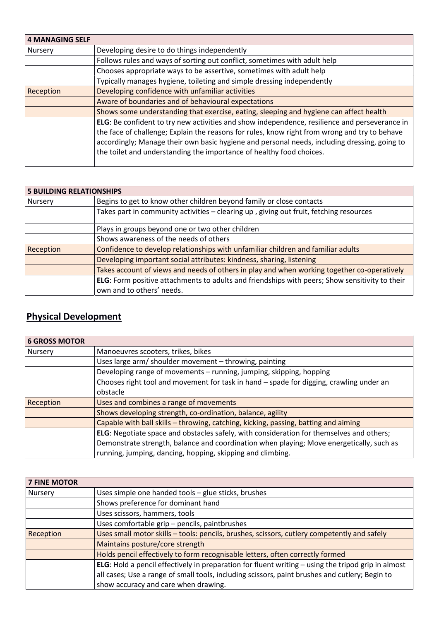| <b>4 MANAGING SELF</b> |                                                                                                                                                                                                                                                                                                                                                                        |
|------------------------|------------------------------------------------------------------------------------------------------------------------------------------------------------------------------------------------------------------------------------------------------------------------------------------------------------------------------------------------------------------------|
| Nursery                | Developing desire to do things independently                                                                                                                                                                                                                                                                                                                           |
|                        | Follows rules and ways of sorting out conflict, sometimes with adult help                                                                                                                                                                                                                                                                                              |
|                        | Chooses appropriate ways to be assertive, sometimes with adult help                                                                                                                                                                                                                                                                                                    |
|                        | Typically manages hygiene, toileting and simple dressing independently                                                                                                                                                                                                                                                                                                 |
| Reception              | Developing confidence with unfamiliar activities                                                                                                                                                                                                                                                                                                                       |
|                        | Aware of boundaries and of behavioural expectations                                                                                                                                                                                                                                                                                                                    |
|                        | Shows some understanding that exercise, eating, sleeping and hygiene can affect health                                                                                                                                                                                                                                                                                 |
|                        | ELG: Be confident to try new activities and show independence, resilience and perseverance in<br>the face of challenge; Explain the reasons for rules, know right from wrong and try to behave<br>accordingly; Manage their own basic hygiene and personal needs, including dressing, going to<br>the toilet and understanding the importance of healthy food choices. |

| <b>5 BUILDING RELATIONSHIPS</b> |                                                                                                |
|---------------------------------|------------------------------------------------------------------------------------------------|
| Nursery                         | Begins to get to know other children beyond family or close contacts                           |
|                                 | Takes part in community activities - clearing up, giving out fruit, fetching resources         |
|                                 | Plays in groups beyond one or two other children                                               |
|                                 | Shows awareness of the needs of others                                                         |
| Reception                       | Confidence to develop relationships with unfamiliar children and familiar adults               |
|                                 | Developing important social attributes: kindness, sharing, listening                           |
|                                 | Takes account of views and needs of others in play and when working together co-operatively    |
|                                 | ELG: Form positive attachments to adults and friendships with peers; Show sensitivity to their |
|                                 | own and to others' needs.                                                                      |

# Physical Development

| <b>6 GROSS MOTOR</b> |                                                                                          |
|----------------------|------------------------------------------------------------------------------------------|
| Nursery              | Manoeuvres scooters, trikes, bikes                                                       |
|                      | Uses large arm/ shoulder movement - throwing, painting                                   |
|                      | Developing range of movements - running, jumping, skipping, hopping                      |
|                      | Chooses right tool and movement for task in hand - spade for digging, crawling under an  |
|                      | obstacle                                                                                 |
| Reception            | Uses and combines a range of movements                                                   |
|                      | Shows developing strength, co-ordination, balance, agility                               |
|                      | Capable with ball skills - throwing, catching, kicking, passing, batting and aiming      |
|                      | ELG: Negotiate space and obstacles safely, with consideration for themselves and others; |
|                      | Demonstrate strength, balance and coordination when playing; Move energetically, such as |
|                      | running, jumping, dancing, hopping, skipping and climbing.                               |

| <b>7 FINE MOTOR</b> |                                                                                                    |
|---------------------|----------------------------------------------------------------------------------------------------|
| Nursery             | Uses simple one handed tools - glue sticks, brushes                                                |
|                     | Shows preference for dominant hand                                                                 |
|                     | Uses scissors, hammers, tools                                                                      |
|                     | Uses comfortable grip - pencils, paintbrushes                                                      |
| Reception           | Uses small motor skills - tools: pencils, brushes, scissors, cutlery competently and safely        |
|                     | Maintains posture/core strength                                                                    |
|                     | Holds pencil effectively to form recognisable letters, often correctly formed                      |
|                     | ELG: Hold a pencil effectively in preparation for fluent writing - using the tripod grip in almost |
|                     | all cases; Use a range of small tools, including scissors, paint brushes and cutlery; Begin to     |
|                     | show accuracy and care when drawing.                                                               |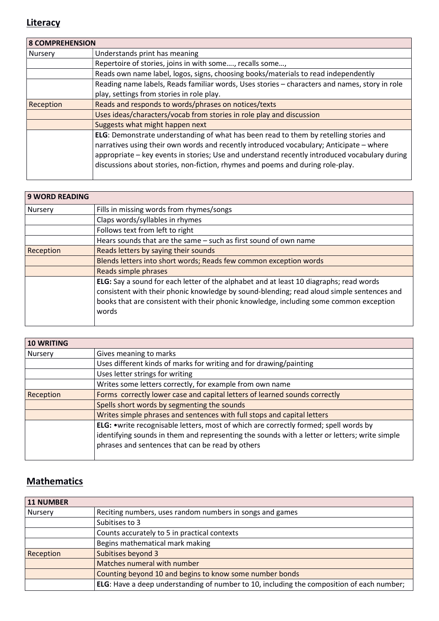#### **Literacy**

|                | <b>8 COMPREHENSION</b>                                                                                                                                                                                                                                                                                                                                              |  |
|----------------|---------------------------------------------------------------------------------------------------------------------------------------------------------------------------------------------------------------------------------------------------------------------------------------------------------------------------------------------------------------------|--|
| <b>Nursery</b> | Understands print has meaning                                                                                                                                                                                                                                                                                                                                       |  |
|                | Repertoire of stories, joins in with some, recalls some,                                                                                                                                                                                                                                                                                                            |  |
|                | Reads own name label, logos, signs, choosing books/materials to read independently                                                                                                                                                                                                                                                                                  |  |
|                | Reading name labels, Reads familiar words, Uses stories - characters and names, story in role                                                                                                                                                                                                                                                                       |  |
|                | play, settings from stories in role play.                                                                                                                                                                                                                                                                                                                           |  |
| Reception      | Reads and responds to words/phrases on notices/texts                                                                                                                                                                                                                                                                                                                |  |
|                | Uses ideas/characters/vocab from stories in role play and discussion                                                                                                                                                                                                                                                                                                |  |
|                | Suggests what might happen next                                                                                                                                                                                                                                                                                                                                     |  |
|                | ELG: Demonstrate understanding of what has been read to them by retelling stories and<br>narratives using their own words and recently introduced vocabulary; Anticipate - where<br>appropriate - key events in stories; Use and understand recently introduced vocabulary during<br>discussions about stories, non-fiction, rhymes and poems and during role-play. |  |

| <b>9 WORD READING</b> |                                                                                                                                                                                                                                                                                        |
|-----------------------|----------------------------------------------------------------------------------------------------------------------------------------------------------------------------------------------------------------------------------------------------------------------------------------|
| Nursery               | Fills in missing words from rhymes/songs                                                                                                                                                                                                                                               |
|                       | Claps words/syllables in rhymes                                                                                                                                                                                                                                                        |
|                       | Follows text from left to right                                                                                                                                                                                                                                                        |
|                       | Hears sounds that are the same – such as first sound of own name                                                                                                                                                                                                                       |
| Reception             | Reads letters by saying their sounds                                                                                                                                                                                                                                                   |
|                       | Blends letters into short words; Reads few common exception words                                                                                                                                                                                                                      |
|                       | Reads simple phrases                                                                                                                                                                                                                                                                   |
|                       | ELG: Say a sound for each letter of the alphabet and at least 10 diagraphs; read words<br>consistent with their phonic knowledge by sound-blending; read aloud simple sentences and<br>books that are consistent with their phonic knowledge, including some common exception<br>words |

| <b>10 WRITING</b> |                                                                                               |
|-------------------|-----------------------------------------------------------------------------------------------|
| <b>Nursery</b>    | Gives meaning to marks                                                                        |
|                   | Uses different kinds of marks for writing and for drawing/painting                            |
|                   | Uses letter strings for writing                                                               |
|                   | Writes some letters correctly, for example from own name                                      |
| Reception         | Forms correctly lower case and capital letters of learned sounds correctly                    |
|                   | Spells short words by segmenting the sounds                                                   |
|                   | Writes simple phrases and sentences with full stops and capital letters                       |
|                   | ELG: . write recognisable letters, most of which are correctly formed; spell words by         |
|                   | identifying sounds in them and representing the sounds with a letter or letters; write simple |
|                   | phrases and sentences that can be read by others                                              |
|                   |                                                                                               |

# **Mathematics**

| 11 NUMBER |                                                                                           |
|-----------|-------------------------------------------------------------------------------------------|
| Nursery   | Reciting numbers, uses random numbers in songs and games                                  |
|           | Subitises to 3                                                                            |
|           | Counts accurately to 5 in practical contexts                                              |
|           | Begins mathematical mark making                                                           |
| Reception | Subitises beyond 3                                                                        |
|           | Matches numeral with number                                                               |
|           | Counting beyond 10 and begins to know some number bonds                                   |
|           | ELG: Have a deep understanding of number to 10, including the composition of each number; |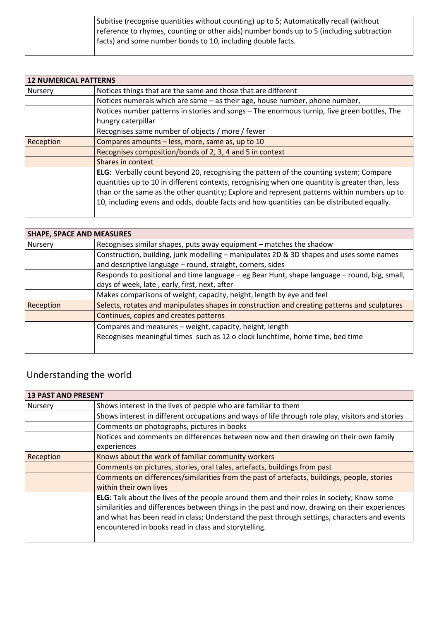| Subitise (recognise quantities without counting) up to 5; Automatically recall (without  |
|------------------------------------------------------------------------------------------|
| reference to rhymes, counting or other aids) number bonds up to 5 (including subtraction |
| facts) and some number bonds to 10, including double facts.                              |
|                                                                                          |

| <b>12 NUMERICAL PATTERNS</b> |                                                                                                                                                                                          |
|------------------------------|------------------------------------------------------------------------------------------------------------------------------------------------------------------------------------------|
| <b>Nursery</b>               | Notices things that are the same and those that are different                                                                                                                            |
|                              | Notices numerals which are same - as their age, house number, phone number,                                                                                                              |
|                              | Notices number patterns in stories and songs - The enormous turnip, five green bottles, The                                                                                              |
|                              | hungry caterpillar                                                                                                                                                                       |
|                              | Recognises same number of objects / more / fewer                                                                                                                                         |
| Reception                    | Compares amounts - less, more, same as, up to 10                                                                                                                                         |
|                              | Recognises composition/bonds of 2, 3, 4 and 5 in context                                                                                                                                 |
|                              | Shares in context                                                                                                                                                                        |
|                              | ELG: Verbally count beyond 20, recognising the pattern of the counting system; Compare<br>quantities up to 10 in different contexts, recognising when one quantity is greater than, less |
|                              | than or the same as the other quantity; Explore and represent patterns within numbers up to<br>10, including evens and odds, double facts and how quantities can be distributed equally. |

| <b>SHAPE, SPACE AND MEASURES</b> |                                                                                              |
|----------------------------------|----------------------------------------------------------------------------------------------|
| <b>Nursery</b>                   | Recognises similar shapes, puts away equipment - matches the shadow                          |
|                                  | Construction, building, junk modelling - manipulates 2D & 3D shapes and uses some names      |
|                                  | and descriptive language - round, straight, corners, sides                                   |
|                                  | Responds to positional and time language - eg Bear Hunt, shape language - round, big, small, |
|                                  | days of week, late, early, first, next, after                                                |
|                                  | Makes comparisons of weight, capacity, height, length by eye and feel                        |
| Reception                        | Selects, rotates and manipulates shapes in construction and creating patterns and sculptures |
|                                  | Continues, copies and creates patterns                                                       |
|                                  | Compares and measures - weight, capacity, height, length                                     |
|                                  | Recognises meaningful times such as 12 o clock lunchtime, home time, bed time                |
|                                  |                                                                                              |

# Understanding the world

| <b>13 PAST AND PRESENT</b> |                                                                                                                                                                                                                                                                                                                                                    |
|----------------------------|----------------------------------------------------------------------------------------------------------------------------------------------------------------------------------------------------------------------------------------------------------------------------------------------------------------------------------------------------|
| Nursery                    | Shows interest in the lives of people who are familiar to them                                                                                                                                                                                                                                                                                     |
|                            | Shows interest in different occupations and ways of life through role play, visitors and stories                                                                                                                                                                                                                                                   |
|                            | Comments on photographs, pictures in books                                                                                                                                                                                                                                                                                                         |
|                            | Notices and comments on differences between now and then drawing on their own family                                                                                                                                                                                                                                                               |
|                            | experiences                                                                                                                                                                                                                                                                                                                                        |
| Reception                  | Knows about the work of familiar community workers                                                                                                                                                                                                                                                                                                 |
|                            | Comments on pictures, stories, oral tales, artefacts, buildings from past                                                                                                                                                                                                                                                                          |
|                            | Comments on differences/similarities from the past of artefacts, buildings, people, stories                                                                                                                                                                                                                                                        |
|                            | within their own lives                                                                                                                                                                                                                                                                                                                             |
|                            | ELG: Talk about the lives of the people around them and their roles in society; Know some<br>similarities and differences between things in the past and now, drawing on their experiences<br>and what has been read in class; Understand the past through settings, characters and events<br>encountered in books read in class and storytelling. |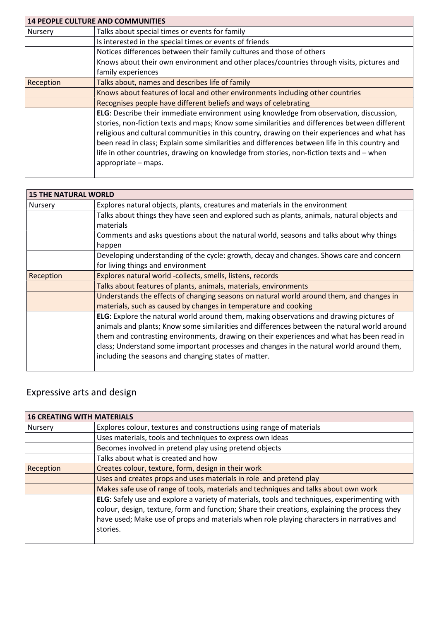| <b>14 PEOPLE CULTURE AND COMMUNITIES</b> |                                                                                                                                                                                                                                                                                                                                                                                                                                                                                                                |
|------------------------------------------|----------------------------------------------------------------------------------------------------------------------------------------------------------------------------------------------------------------------------------------------------------------------------------------------------------------------------------------------------------------------------------------------------------------------------------------------------------------------------------------------------------------|
| Nursery                                  | Talks about special times or events for family                                                                                                                                                                                                                                                                                                                                                                                                                                                                 |
|                                          | Is interested in the special times or events of friends                                                                                                                                                                                                                                                                                                                                                                                                                                                        |
|                                          | Notices differences between their family cultures and those of others                                                                                                                                                                                                                                                                                                                                                                                                                                          |
|                                          | Knows about their own environment and other places/countries through visits, pictures and                                                                                                                                                                                                                                                                                                                                                                                                                      |
|                                          | family experiences                                                                                                                                                                                                                                                                                                                                                                                                                                                                                             |
| Reception                                | Talks about, names and describes life of family                                                                                                                                                                                                                                                                                                                                                                                                                                                                |
|                                          | Knows about features of local and other environments including other countries                                                                                                                                                                                                                                                                                                                                                                                                                                 |
|                                          | Recognises people have different beliefs and ways of celebrating                                                                                                                                                                                                                                                                                                                                                                                                                                               |
|                                          | ELG: Describe their immediate environment using knowledge from observation, discussion,<br>stories, non-fiction texts and maps; Know some similarities and differences between different<br>religious and cultural communities in this country, drawing on their experiences and what has<br>been read in class; Explain some similarities and differences between life in this country and<br>life in other countries, drawing on knowledge from stories, non-fiction texts and - when<br>appropriate - maps. |

| <b>15 THE NATURAL WORLD</b> |                                                                                             |
|-----------------------------|---------------------------------------------------------------------------------------------|
| Nursery                     | Explores natural objects, plants, creatures and materials in the environment                |
|                             | Talks about things they have seen and explored such as plants, animals, natural objects and |
|                             | materials                                                                                   |
|                             | Comments and asks questions about the natural world, seasons and talks about why things     |
|                             | happen                                                                                      |
|                             | Developing understanding of the cycle: growth, decay and changes. Shows care and concern    |
|                             | for living things and environment                                                           |
| Reception                   | Explores natural world -collects, smells, listens, records                                  |
|                             | Talks about features of plants, animals, materials, environments                            |
|                             | Understands the effects of changing seasons on natural world around them, and changes in    |
|                             | materials, such as caused by changes in temperature and cooking                             |
|                             | ELG: Explore the natural world around them, making observations and drawing pictures of     |
|                             | animals and plants; Know some similarities and differences between the natural world around |
|                             | them and contrasting environments, drawing on their experiences and what has been read in   |
|                             | class; Understand some important processes and changes in the natural world around them,    |
|                             | including the seasons and changing states of matter.                                        |
|                             |                                                                                             |

# Expressive arts and design

| <b>16 CREATING WITH MATERIALS</b> |                                                                                                                                                                                                                                                                                                         |
|-----------------------------------|---------------------------------------------------------------------------------------------------------------------------------------------------------------------------------------------------------------------------------------------------------------------------------------------------------|
| Nursery                           | Explores colour, textures and constructions using range of materials                                                                                                                                                                                                                                    |
|                                   | Uses materials, tools and techniques to express own ideas                                                                                                                                                                                                                                               |
|                                   | Becomes involved in pretend play using pretend objects                                                                                                                                                                                                                                                  |
|                                   | Talks about what is created and how                                                                                                                                                                                                                                                                     |
| Reception                         | Creates colour, texture, form, design in their work                                                                                                                                                                                                                                                     |
|                                   | Uses and creates props and uses materials in role and pretend play                                                                                                                                                                                                                                      |
|                                   | Makes safe use of range of tools, materials and techniques and talks about own work                                                                                                                                                                                                                     |
|                                   | ELG: Safely use and explore a variety of materials, tools and techniques, experimenting with<br>colour, design, texture, form and function; Share their creations, explaining the process they<br>have used; Make use of props and materials when role playing characters in narratives and<br>stories. |